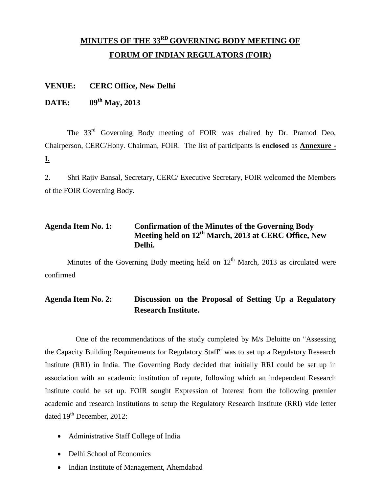# **MINUTES OF THE 33 RD GOVERNING BODY MEETING OF FORUM OF INDIAN REGULATORS (FOIR)**

#### **VENUE: CERC Office, New Delhi**

## **DATE: 09th May, 2013**

The 33<sup>rd</sup> Governing Body meeting of FOIR was chaired by Dr. Pramod Deo, Chairperson, CERC/Hony. Chairman, FOIR. The list of participants is **enclosed** as **Annexure - I.**

2. Shri Rajiv Bansal, Secretary, CERC/ Executive Secretary, FOIR welcomed the Members of the FOIR Governing Body.

## **Agenda Item No. 1: Confirmation of the Minutes of the Governing Body Meeting held on 12 th March, 2013 at CERC Office, New Delhi.**

Minutes of the Governing Body meeting held on  $12<sup>th</sup>$  March, 2013 as circulated were confirmed

## **Agenda Item No. 2: Discussion on the Proposal of Setting Up a Regulatory Research Institute.**

One of the recommendations of the study completed by M/s Deloitte on "Assessing the Capacity Building Requirements for Regulatory Staff" was to set up a Regulatory Research Institute (RRI) in India. The Governing Body decided that initially RRI could be set up in association with an academic institution of repute, following which an independent Research Institute could be set up. FOIR sought Expression of Interest from the following premier academic and research institutions to setup the Regulatory Research Institute (RRI) vide letter dated 19<sup>th</sup> December, 2012:

- Administrative Staff College of India
- Delhi School of Economics
- Indian Institute of Management, Ahemdabad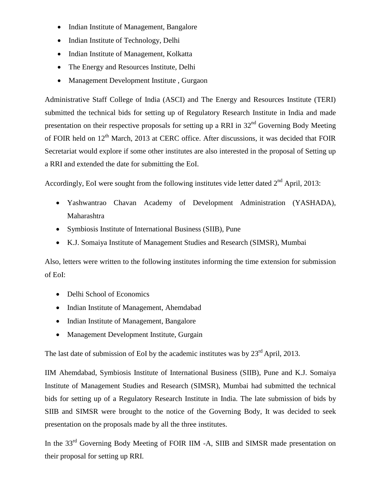- Indian Institute of Management, Bangalore
- Indian Institute of Technology, Delhi
- Indian Institute of Management, Kolkatta
- The Energy and Resources Institute, Delhi
- Management Development Institute, Gurgaon

Administrative Staff College of India (ASCI) and The Energy and Resources Institute (TERI) submitted the technical bids for setting up of Regulatory Research Institute in India and made presentation on their respective proposals for setting up a RRI in  $32<sup>nd</sup>$  Governing Body Meeting of FOIR held on 12<sup>th</sup> March, 2013 at CERC office. After discussions, it was decided that FOIR Secretariat would explore if some other institutes are also interested in the proposal of Setting up a RRI and extended the date for submitting the EoI.

Accordingly, EoI were sought from the following institutes vide letter dated  $2<sup>nd</sup>$  April, 2013:

- Yashwantrao Chavan Academy of Development Administration (YASHADA), Maharashtra
- Symbiosis Institute of International Business (SIIB), Pune
- K.J. Somaiya Institute of Management Studies and Research (SIMSR), Mumbai

Also, letters were written to the following institutes informing the time extension for submission of EoI:

- Delhi School of Economics
- Indian Institute of Management, Ahemdabad
- Indian Institute of Management, Bangalore
- Management Development Institute, Gurgain

The last date of submission of EoI by the academic institutes was by  $23<sup>rd</sup>$  April, 2013.

IIM Ahemdabad, Symbiosis Institute of International Business (SIIB), Pune and K.J. Somaiya Institute of Management Studies and Research (SIMSR), Mumbai had submitted the technical bids for setting up of a Regulatory Research Institute in India. The late submission of bids by SIIB and SIMSR were brought to the notice of the Governing Body, It was decided to seek presentation on the proposals made by all the three institutes.

In the 33<sup>rd</sup> Governing Body Meeting of FOIR IIM -A, SIIB and SIMSR made presentation on their proposal for setting up RRI.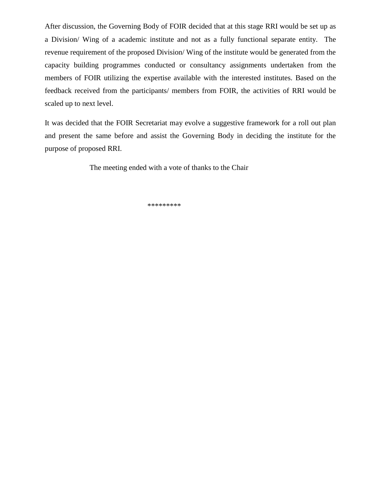After discussion, the Governing Body of FOIR decided that at this stage RRI would be set up as a Division/ Wing of a academic institute and not as a fully functional separate entity. The revenue requirement of the proposed Division/ Wing of the institute would be generated from the capacity building programmes conducted or consultancy assignments undertaken from the members of FOIR utilizing the expertise available with the interested institutes. Based on the feedback received from the participants/ members from FOIR, the activities of RRI would be scaled up to next level.

It was decided that the FOIR Secretariat may evolve a suggestive framework for a roll out plan and present the same before and assist the Governing Body in deciding the institute for the purpose of proposed RRI.

The meeting ended with a vote of thanks to the Chair

\*\*\*\*\*\*\*\*\*